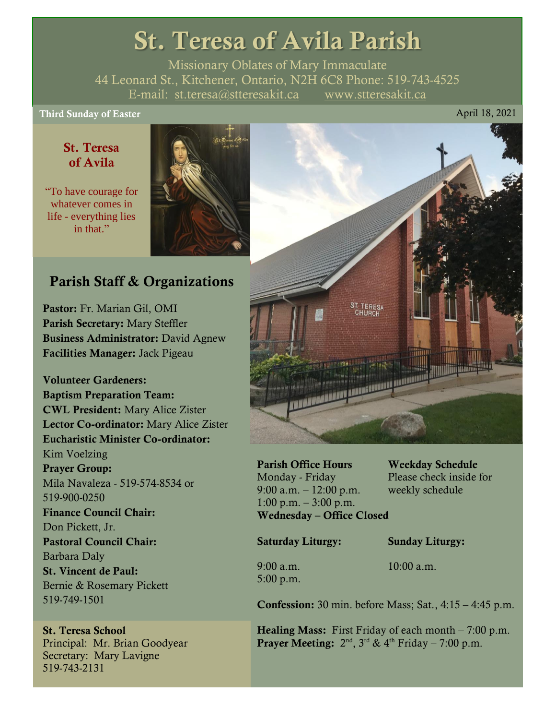# St. Teresa of Avila Parish

Missionary Oblates of Mary Immaculate 44 Leonard St., Kitchener, Ontario, N2H 6C8 Phone: 519-743-4525 E-mail: [st.teresa@stteresakit.ca](mailto:st.teresa@stteresakit.ca) [www.stteresakit.ca](http://www.stteresakit.ca/)

# Third Sunday of Easter April 18, 2021

# St. Teresa of Avila

"To have courage for whatever comes in life - everything lies in that"



# Parish Staff & Organizations

Pastor: Fr. Marian Gil, OMI Parish Secretary: Mary Steffler Business Administrator: David Agnew Facilities Manager: Jack Pigeau

Volunteer Gardeners: Baptism Preparation Team: CWL President: Mary Alice Zister Lector Co-ordinator: Mary Alice Zister Eucharistic Minister Co-ordinator: Kim Voelzing Prayer Group: Mila Navaleza - 519-574-8534 or 519-900-0250 Finance Council Chair: Don Pickett, Jr. Pastoral Council Chair: Barbara Daly St. Vincent de Paul: Bernie & Rosemary Pickett 519-749-1501

St. Teresa School Principal: Mr. Brian Goodyear Secretary: Mary Lavigne 519-743-2131



Parish Office Hours Weekday Schedule Monday - Friday Please check inside for 9:00 a.m. – 12:00 p.m. weekly schedule  $1:00 \text{ p.m.} - 3:00 \text{ p.m.}$ Wednesday – Office Closed

Saturday Liturgy: Sunday Liturgy:

5:00 p.m.

9:00 a.m. 10:00 a.m.

Confession: 30 min. before Mass; Sat., 4:15 – 4:45 p.m.

**Healing Mass:** First Friday of each month  $-7:00$  p.m. **Prayer Meeting:**  $2^{nd}$ ,  $3^{rd}$  &  $4^{th}$  Friday – 7:00 p.m.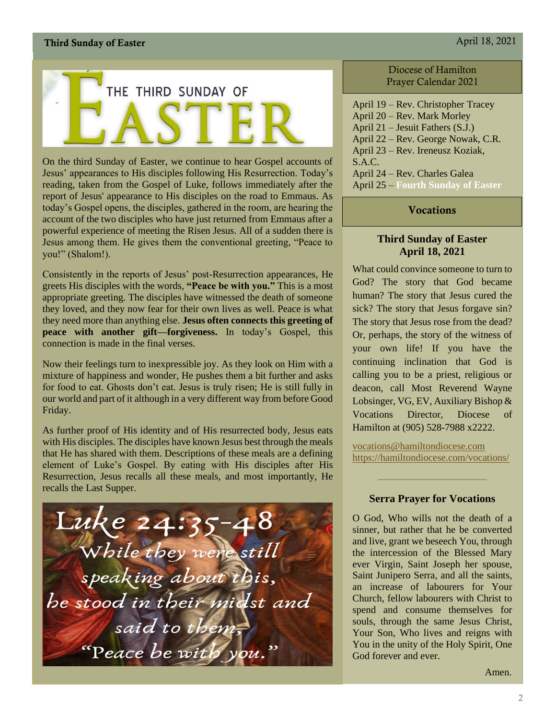

On the third Sunday of Easter, we continue to hear Gospel accounts of Jesus' appearances to His disciples following His Resurrection. Today's reading, taken from the Gospel of Luke, follows immediately after the report of Jesus' appearance to His disciples on the road to Emmaus. As today's Gospel opens, the disciples, gathered in the room, are hearing the account of the two disciples who have just returned from Emmaus after a powerful experience of meeting the Risen Jesus. All of a sudden there is Jesus among them. He gives them the conventional greeting, "Peace to you!" (Shalom!).

Consistently in the reports of Jesus' post-Resurrection appearances, He greets His disciples with the words, **"Peace be with you."** This is a most appropriate greeting. The disciples have witnessed the death of someone they loved, and they now fear for their own lives as well. Peace is what they need more than anything else. **Jesus often connects this greeting of peace with another gift—forgiveness.** In today's Gospel, this connection is made in the final verses.

Now their feelings turn to inexpressible joy. As they look on Him with a mixture of happiness and wonder, He pushes them a bit further and asks for food to eat. Ghosts don't eat. Jesus is truly risen; He is still fully in our world and part of it although in a very different way from before Good Friday.

As further proof of His identity and of His resurrected body, Jesus eats with His disciples. The disciples have known Jesus best through the meals that He has shared with them. Descriptions of these meals are a defining element of Luke's Gospel. By eating with His disciples after His Resurrection, Jesus recalls all these meals, and most importantly, He recalls the Last Supper.



#### Diocese of Hamilton Prayer Calendar 2021

April 19 – Rev. Christopher Tracey April 20 – Rev. Mark Morley April 21 – Jesuit Fathers (S.J.) April 22 – Rev. George Nowak, C.R. April 23 – Rev. Ireneusz Koziak, S.A.C. April 24 – Rev. Charles Galea April 25 – **Fourth Sunday of Easter**

#### **Vocations**

#### **Third Sunday of Easter April 18, 2021**

What could convince someone to turn to God? The story that God became human? The story that Jesus cured the sick? The story that Jesus forgave sin? The story that Jesus rose from the dead? Or, perhaps, the story of the witness of your own life! If you have the continuing inclination that God is calling you to be a priest, religious or deacon, call Most Reverend Wayne Lobsinger, VG, EV, Auxiliary Bishop & Vocations Director, Diocese of Hamilton at (905) 528-7988 x2222.

[vocations@hamiltondiocese.com](mailto:vocations@hamiltondiocese.com)  <https://hamiltondiocese.com/vocations/>

#### **Serra Prayer for Vocations**

O God, Who wills not the death of a sinner, but rather that he be converted and live, grant we beseech You, through the intercession of the Blessed Mary ever Virgin, Saint Joseph her spouse, Saint Junipero Serra, and all the saints, an increase of labourers for Your Church, fellow labourers with Christ to spend and consume themselves for souls, through the same Jesus Christ, Your Son, Who lives and reigns with You in the unity of the Holy Spirit, One God forever and ever.

Amen.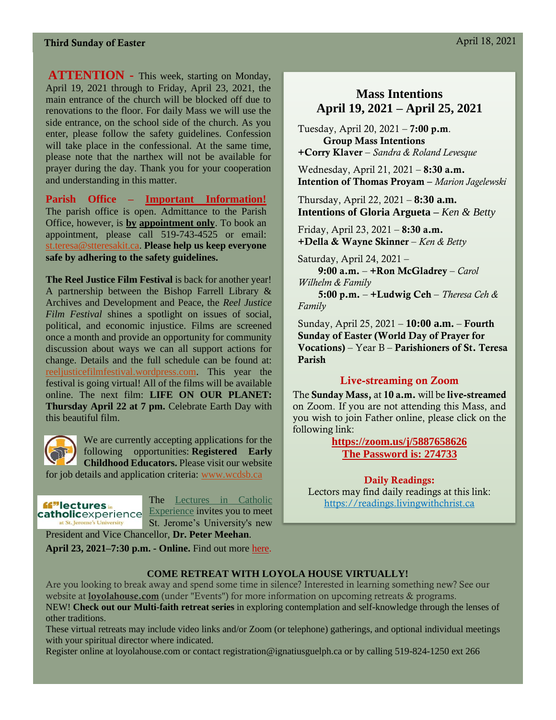## Third Sunday of Easter April 18, 2021

**ATTENTION -** This week, starting on Monday, April 19, 2021 through to Friday, April 23, 2021, the main entrance of the church will be blocked off due to renovations to the floor. For daily Mass we will use the side entrance, on the school side of the church. As you enter, please follow the safety guidelines. Confession will take place in the confessional. At the same time, please note that the narthex will not be available for prayer during the day. Thank you for your cooperation and understanding in this matter.

**Parish Office – Important Information!** The parish office is open. Admittance to the Parish Office, however, is **by appointment only**. To book an appointment, please call 519-743-4525 or email: [st.teresa@stteresakit.ca.](mailto:st.teresa@stteresakit.ca) **Please help us keep everyone safe by adhering to the safety guidelines.**

**The Reel Justice Film Festival** is back for another year! A partnership between the Bishop Farrell Library & Archives and Development and Peace, the *Reel Justice Film Festival* shines a spotlight on issues of social, political, and economic injustice. Films are screened once a month and provide an opportunity for community discussion about ways we can all support actions for change. Details and the full schedule can be found at: [reeljusticefilmfestival.wordpress.com.](https://reeljusticefilmfestival.wordpress.com/) This year the festival is going virtual! All of the films will be available online. The next film: **LIFE ON OUR PLANET: Thursday April 22 at 7 pm. Celebrate Earth Day with** this beautiful film.



We are currently accepting applications for the following opportunities: **Registered Early Childhood Educators.** Please visit our website for job details and application criteria: [www.wcdsb.ca](http://www.wcdsb.ca/)



The [Lectures in Catholic](https://sju.us12.list-manage.com/track/click?u=32b8faf3b62cb8f35a23e2996&id=eb514d1861&e=353fb4cc37)  [Experience](https://sju.us12.list-manage.com/track/click?u=32b8faf3b62cb8f35a23e2996&id=eb514d1861&e=353fb4cc37) invites you to meet St. Jerome's University's new

President and Vice Chancellor, **Dr. Peter Meehan**.

**April 23, 2021–7:30 p.m. - Online.** Find out more [here.](https://sju.us12.list-manage.com/track/click?u=32b8faf3b62cb8f35a23e2996&id=368f69d19f&e=353fb4cc37)

# **Mass Intentions April 19, 2021 – April 25, 2021**

Tuesday, April 20, 2021 – 7:00 p.m. Group Mass Intentions +Corry Klaver – *Sandra & Roland Levesque*

Wednesday, April 21, 2021 – 8:30 a.m. Intention of Thomas Proyam – *Marion Jagelewski*

Thursday, April 22, 2021 – **8:30 a.m. Intentions of Gloria Argueta –** *Ken & Betty*

Friday, April 23, 2021 – 8:30 a.m. +Della & Wayne Skinner – *Ken & Betty*

 Saturday, April 24, 2021 – 9:00 a.m. – +Ron McGladrey – *Carol Wilhelm & Family* 5:00 p.m. – +Ludwig Ceh – *Theresa Ceh & Family*

Sunday, April 25, 2021 – **10:00 a.m.** – Fourth Sunday of Easter (World Day of Prayer for Vocations) – Year B – Parishioners of St. Teresa Parish

#### Live-streaming on Zoom

The Sunday Mass, at 10 a.m. will be live-streamed on Zoom. If you are not attending this Mass, and you wish to join Father online, please click on the following link:

> **<https://zoom.us/j/5887658626> The Password is: 274733**

Daily Readings: Lectors may find daily readings at this link: [https://readings.livingwithchrist.ca](https://readings.livingwithchrist.ca/)

#### **COME RETREAT WITH LOYOLA HOUSE VIRTUALLY!**

Are you looking to break away and spend some time in silence? Interested in learning something new? See our website at **[loyolahouse.com](http://r20.rs6.net/tn.jsp?f=001xPxJG23VTH7-4N1jiZ-vqWDlMznh-ZZCB2zmNJycbrYj-kcSStCLMwtf5KROI8GA1a1ude7hD2Y18Gz77KuRvoOYlRDfmLKG0V4OmElq-oHCkTYKR2r7kor03tW9DYynJJLWfapK9JPkSrxd9SIqVVebtJF6aiDFbb1bTs68R7E=&c=i47CoNwZ5Fp_vio0QUNjmr52WkFbQwpfafIaAt1zdsV809G2X9NZmQ==&ch=rCw2D5x8u_fpKx5QIKg7lG0RZn71u64OtPq2P3AfXUbPBNz732wRpQ==)** (under "Events") for more information on upcoming retreats & programs. NEW! **Check out our Multi-faith retreat series** in exploring contemplation and self-knowledge through the lenses of other traditions.

These virtual retreats may include video links and/or Zoom (or telephone) gatherings, and optional individual meetings with your spiritual director where indicated.

Register online at loyolahouse.com or contact registration@ignatiusguelph.ca or by calling 519-824-1250 ext 266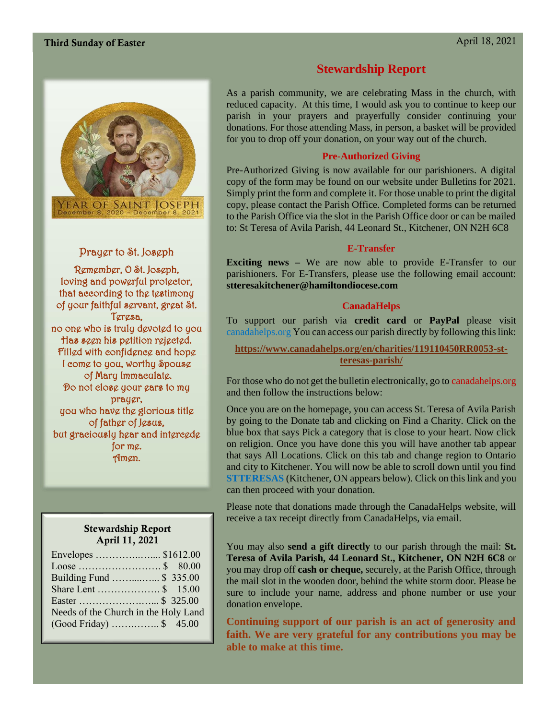

#### Prayer to St. Joseph

Remember, O St. Joseph, loving and powerful protector, that according to the testimony of your faithful servant, great St. Teresa, no one who is truly devoted to you Has seen his petition rejected. Filled with confidence and hope I come to you, worthy Spouse of Mary Immaculate. Do not close your ears to my prayer, you who have the glorious title of father of Jesus, but graciously hear and intercede for me. Amen.

#### Stewardship Report April 11, 2021

| Building Fund  \$ 335.00             |  |
|--------------------------------------|--|
|                                      |  |
|                                      |  |
| Needs of the Church in the Holy Land |  |
| $(Good Friday)$ \$ 45.00             |  |

# **Stewardship Report**

As a parish community, we are celebrating Mass in the church, with reduced capacity. At this time, I would ask you to continue to keep our parish in your prayers and prayerfully consider continuing your donations. For those attending Mass, in person, a basket will be provided for you to drop off your donation, on your way out of the church.

#### **Pre-Authorized Giving**

Pre-Authorized Giving is now available for our parishioners. A digital copy of the form may be found on our website under Bulletins for 2021. Simply print the form and complete it. For those unable to print the digital copy, please contact the Parish Office. Completed forms can be returned to the Parish Office via the slot in the Parish Office door or can be mailed to: St Teresa of Avila Parish, 44 Leonard St., Kitchener, ON N2H 6C8

#### **E-Transfer**

**Exciting news –** We are now able to provide E-Transfer to our parishioners. For E-Transfers, please use the following email account: **stteresakitchener@hamiltondiocese.com**

#### **CanadaHelps**

To support our parish via **credit card** or **PayPal** please visit canadahelps.org You can access our parish directly by following this link:

**[https://www.canadahelps.org/en/charities/119110450RR0053-st](https://www.canadahelps.org/en/charities/119110450RR0053-st-teresas-parish/)[teresas-parish/](https://www.canadahelps.org/en/charities/119110450RR0053-st-teresas-parish/)**

For those who do not get the bulletin electronically, go to canadahelps.org and then follow the instructions below:

Once you are on the homepage, you can access St. Teresa of Avila Parish by going to the Donate tab and clicking on Find a Charity. Click on the blue box that says Pick a category that is close to your heart. Now click on religion. Once you have done this you will have another tab appear that says All Locations. Click on this tab and change region to Ontario and city to Kitchener. You will now be able to scroll down until you find **STTERESAS** (Kitchener, ON appears below). Click on this link and you can then proceed with your donation.

Please note that donations made through the CanadaHelps website, will receive a tax receipt directly from CanadaHelps, via email.

You may also **send a gift directly** to our parish through the mail: **St. Teresa of Avila Parish, 44 Leonard St., Kitchener, ON N2H 6C8** or you may drop off **cash or cheque,** securely, at the Parish Office, through the mail slot in the wooden door, behind the white storm door. Please be sure to include your name, address and phone number or use your donation envelope.

**Continuing support of our parish is an act of generosity and faith. We are very grateful for any contributions you may be able to make at this time.**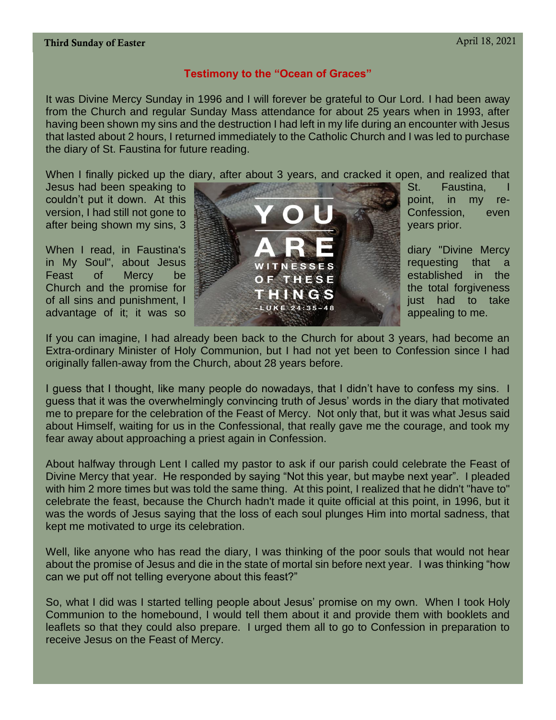#### Third Sunday of Easter April 18, 2021

#### **Testimony to the "Ocean of Graces"**

It was Divine Mercy Sunday in 1996 and I will forever be grateful to Our Lord. I had been away from the Church and regular Sunday Mass attendance for about 25 years when in 1993, after having been shown my sins and the destruction I had left in my life during an encounter with Jesus that lasted about 2 hours, I returned immediately to the Catholic Church and I was led to purchase the diary of St. Faustina for future reading.

When I finally picked up the diary, after about 3 years, and cracked it open, and realized that



If you can imagine, I had already been back to the Church for about 3 years, had become an Extra-ordinary Minister of Holy Communion, but I had not yet been to Confession since I had originally fallen-away from the Church, about 28 years before.

I guess that I thought, like many people do nowadays, that I didn't have to confess my sins. I guess that it was the overwhelmingly convincing truth of Jesus' words in the diary that motivated me to prepare for the celebration of the Feast of Mercy. Not only that, but it was what Jesus said about Himself, waiting for us in the Confessional, that really gave me the courage, and took my fear away about approaching a priest again in Confession.

About halfway through Lent I called my pastor to ask if our parish could celebrate the Feast of Divine Mercy that year. He responded by saying "Not this year, but maybe next year". I pleaded with him 2 more times but was told the same thing. At this point, I realized that he didn't "have to" celebrate the feast, because the Church hadn't made it quite official at this point, in 1996, but it was the words of Jesus saying that the loss of each soul plunges Him into mortal sadness, that kept me motivated to urge its celebration.

Well, like anyone who has read the diary, I was thinking of the poor souls that would not hear about the promise of Jesus and die in the state of mortal sin before next year. I was thinking "how can we put off not telling everyone about this feast?"

So, what I did was I started telling people about Jesus' promise on my own. When I took Holy Communion to the homebound, I would tell them about it and provide them with booklets and leaflets so that they could also prepare. I urged them all to go to Confession in preparation to receive Jesus on the Feast of Mercy.